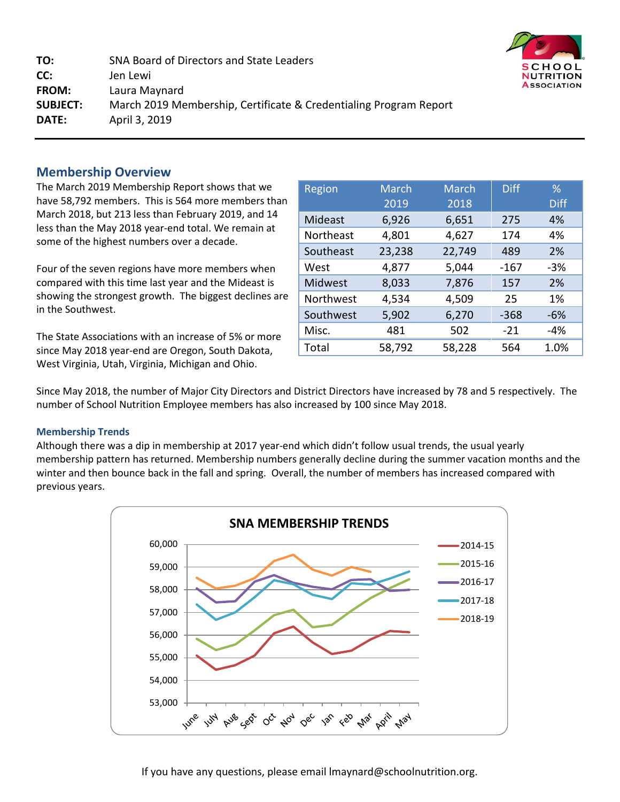**TO:** SNA Board of Directors and State Leaders **CC:** Jen Lewi **FROM:** Laura Maynard **SUBJECT:** March 2019 Membership, Certificate & Credentialing Program Report **DATE:** April 3, 2019



The March 2019 Membership Report shows that we have 58,792 members. This is 564 more members than March 2018, but 213 less than February 2019, and 14 less than the May 2018 year-end total. We remain at some of the highest numbers over a decade.

Four of the seven regions have more members when compared with this time last year and the Mideast is showing the strongest growth. The biggest declines ar in the Southwest.

The State Associations with an increase of 5% or more since May 2018 year-end are Oregon, South Dakota, West Virginia, Utah, Virginia, Michigan and Ohio.

|   | Region    | <b>March</b> | <b>March</b> | <b>Diff</b> | %           |
|---|-----------|--------------|--------------|-------------|-------------|
| n |           | 2019         | 2018         |             | <b>Diff</b> |
|   | Mideast   | 6,926        | 6,651        | 275         | 4%          |
|   | Northeast | 4,801        | 4,627        | 174         | 4%          |
|   | Southeast | 23,238       | 22,749       | 489         | 2%          |
|   | West      | 4,877        | 5,044        | $-167$      | $-3%$       |
|   | Midwest   | 8,033        | 7,876        | 157         | 2%          |
| e | Northwest | 4,534        | 4,509        | 25          | 1%          |
|   | Southwest | 5,902        | 6,270        | $-368$      | $-6%$       |
|   | Misc.     | 481          | 502          | $-21$       | $-4%$       |
|   | Total     | 58,792       | 58,228       | 564         | 1.0%        |

Since May 2018, the number of Major City Directors and District Directors have increased by 78 and 5 respectively. The number of School Nutrition Employee members has also increased by 100 since May 2018.

#### **Membership Trends**

Although there was a dip in membership at 2017 year-end which didn't follow usual trends, the usual yearly membership pattern has returned. Membership numbers generally decline during the summer vacation months and the winter and then bounce back in the fall and spring. Overall, the number of members has increased compared with previous years.



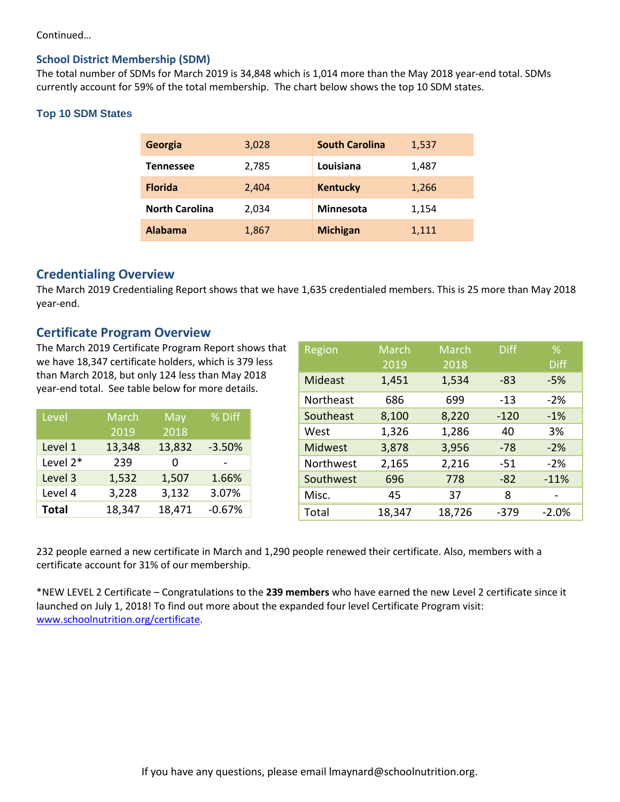#### Continued…

#### **School District Membership (SDM)**

The total number of SDMs for March 2019 is 34,848 which is 1,014 more than the May 2018 year-end total. SDMs currently account for 59% of the total membership. The chart below shows the top 10 SDM states.

#### **Top 10 SDM States**

| Georgia               | 3,028 | <b>South Carolina</b> | 1,537 |
|-----------------------|-------|-----------------------|-------|
| <b>Tennessee</b>      | 2,785 | Louisiana             | 1,487 |
| <b>Florida</b>        | 2,404 | <b>Kentucky</b>       | 1,266 |
| <b>North Carolina</b> | 2,034 | Minnesota             | 1,154 |
| <b>Alabama</b>        | 1,867 | <b>Michigan</b>       | 1,111 |

#### **Credentialing Overview**

The March 2019 Credentialing Report shows that we have 1,635 credentialed members. This is 25 more than May 2018 year-end.

#### **Certificate Program Overview**

The March 2019 Certificate Program Report shows that we have 18,347 certificate holders, which is 379 less than March 2018, but only 124 less than May 2018 year-end total. See table below for more details.

| Level        | March  | May    | % Diff   |
|--------------|--------|--------|----------|
|              | 2019   | 2018   |          |
| Level 1      | 13,348 | 13,832 | $-3.50%$ |
| Level 2*     | 239    | O      |          |
| Level 3      | 1,532  | 1,507  | 1.66%    |
| Level 4      | 3,228  | 3,132  | 3.07%    |
| <b>Total</b> | 18,347 | 18,471 | $-0.67%$ |

| Region         | <b>March</b> | <b>March</b> | <b>Diff</b> | $\%$        |
|----------------|--------------|--------------|-------------|-------------|
|                | 2019         | 2018         |             | <b>Diff</b> |
| <b>Mideast</b> | 1,451        | 1,534        | -83         | -5%         |
| Northeast      | 686          | 699          | $-13$       | $-2%$       |
| Southeast      | 8,100        | 8,220        | $-120$      | $-1%$       |
| West           | 1,326        | 1,286        | 40          | 3%          |
| <b>Midwest</b> | 3,878        | 3,956        | $-78$       | $-2%$       |
| Northwest      | 2,165        | 2,216        | -51         | $-2%$       |
| Southwest      | 696          | 778          | $-82$       | $-11%$      |
| Misc.          | 45           | 37           | 8           |             |
| Total          | 18,347       | 18,726       | -379        | $-2.0%$     |

232 people earned a new certificate in March and 1,290 people renewed their certificate. Also, members with a certificate account for 31% of our membership.

\*NEW LEVEL 2 Certificate – Congratulations to the **239 members** who have earned the new Level 2 certificate since it launched on July 1, 2018! To find out more about the expanded four level Certificate Program visit: [www.schoolnutrition.org/certificate.](http://www.schoolnutrition.org/certificate)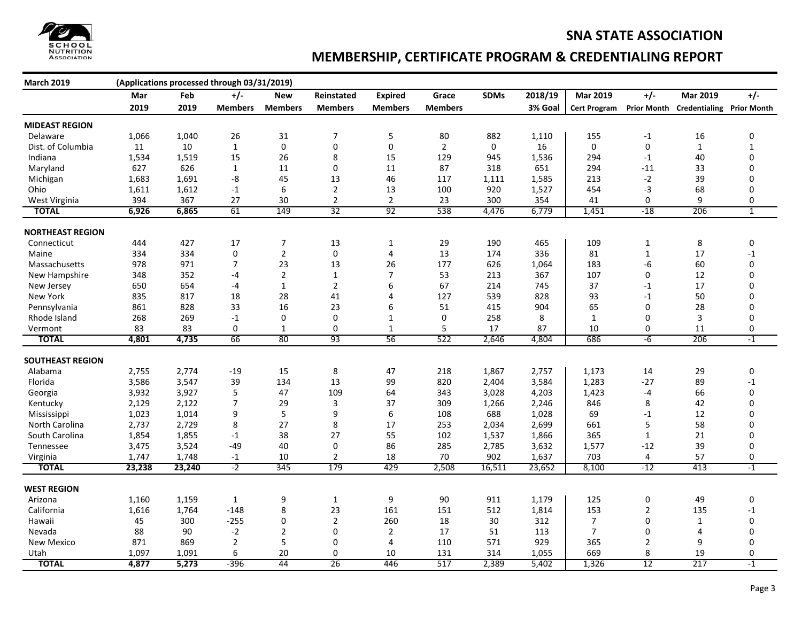

### **MEMBERSHIP, CERTIFICATE PROGRAM & CREDENTIALING REPORT**

| <b>March 2019</b>       |        |        | (Applications processed through 03/31/2019) |                |                |                |                |             |         |                     |                    |                                  |              |
|-------------------------|--------|--------|---------------------------------------------|----------------|----------------|----------------|----------------|-------------|---------|---------------------|--------------------|----------------------------------|--------------|
|                         | Mar    | Feb    | $+/-$                                       | New            | Reinstated     | <b>Expired</b> | Grace          | <b>SDMs</b> | 2018/19 | <b>Mar 2019</b>     | $+/-$              | <b>Mar 2019</b>                  | $+/-$        |
|                         | 2019   | 2019   | <b>Members</b>                              | <b>Members</b> | <b>Members</b> | <b>Members</b> | <b>Members</b> |             | 3% Goal | <b>Cert Program</b> | <b>Prior Month</b> | <b>Credentialing Prior Month</b> |              |
| <b>MIDEAST REGION</b>   |        |        |                                             |                |                |                |                |             |         |                     |                    |                                  |              |
| Delaware                | 1,066  | 1,040  | 26                                          | 31             | 7              | 5              | 80             | 882         | 1,110   | 155                 | $-1$               | 16                               | 0            |
| Dist. of Columbia       | 11     | 10     | $\mathbf{1}$                                | $\mathbf 0$    | $\pmb{0}$      | $\pmb{0}$      | $\overline{2}$ | 0           | 16      | $\mathbf 0$         | 0                  | $\mathbf{1}$                     | $\mathbf{1}$ |
| Indiana                 | 1,534  | 1,519  | 15                                          | 26             | 8              | 15             | 129            | 945         | 1,536   | 294                 | $-1$               | 40                               | $\mathbf 0$  |
| Maryland                | 627    | 626    | $\mathbf{1}$                                | 11             | $\pmb{0}$      | 11             | 87             | 318         | 651     | 294                 | $-11$              | 33                               | 0            |
| Michigan                | 1,683  | 1,691  | -8                                          | 45             | 13             | 46             | 117            | 1,111       | 1,585   | 213                 | $-2$               | 39                               | 0            |
| Ohio                    | 1,611  | 1,612  | $-1$                                        | 6              | $\overline{2}$ | 13             | 100            | 920         | 1,527   | 454                 | $-3$               | 68                               | 0            |
| West Virginia           | 394    | 367    | 27                                          | 30             | $\overline{2}$ | $\overline{2}$ | 23             | 300         | 354     | 41                  | 0                  | 9                                | 0            |
| <b>TOTAL</b>            | 6,926  | 6,865  | 61                                          | 149            | 32             | 92             | 538            | 4,476       | 6,779   | 1,451               | $-18$              | 206                              | $\mathbf{1}$ |
|                         |        |        |                                             |                |                |                |                |             |         |                     |                    |                                  |              |
| <b>NORTHEAST REGION</b> |        |        |                                             |                |                |                |                |             |         |                     |                    |                                  |              |
| Connecticut             | 444    | 427    | 17                                          | 7              | 13             | $\mathbf{1}$   | 29             | 190         | 465     | 109                 | $\mathbf{1}$       | 8                                | 0            |
| Maine                   | 334    | 334    | 0                                           | $\overline{2}$ | 0              | 4              | 13             | 174         | 336     | 81                  | $\mathbf{1}$       | 17                               | $-1$         |
| Massachusetts           | 978    | 971    | 7                                           | 23             | 13             | 26             | 177            | 626         | 1,064   | 183                 | -6                 | 60                               | 0            |
| New Hampshire           | 348    | 352    | -4                                          | $\sqrt{2}$     | $\mathbf{1}$   | $\overline{7}$ | 53             | 213         | 367     | 107                 | 0                  | 12                               | $\mathbf 0$  |
| New Jersey              | 650    | 654    | $-4$                                        | $\mathbf{1}$   | $\overline{2}$ | 6              | 67             | 214         | 745     | 37                  | $-1$               | 17                               | 0            |
| New York                | 835    | 817    | 18                                          | 28             | 41             | 4              | 127            | 539         | 828     | 93                  | $-1$               | 50                               | 0            |
| Pennsylvania            | 861    | 828    | 33                                          | 16             | 23             | 6              | 51             | 415         | 904     | 65                  | 0                  | 28                               | $\Omega$     |
| Rhode Island            | 268    | 269    | $-1$                                        | 0              | $\mathbf 0$    | $\mathbf{1}$   | $\pmb{0}$      | 258         | 8       | $\mathbf{1}$        | 0                  | 3                                | 0            |
| Vermont                 | 83     | 83     | 0                                           | $\mathbf{1}$   | $\mathbf 0$    | $\mathbf{1}$   | 5              | 17          | 87      | 10                  | 0                  | 11                               | 0            |
| <b>TOTAL</b>            | 4,801  | 4,735  | 66                                          | 80             | 93             | 56             | 522            | 2,646       | 4,804   | 686                 | $-6$               | 206                              | $-1$         |
|                         |        |        |                                             |                |                |                |                |             |         |                     |                    |                                  |              |
| <b>SOUTHEAST REGION</b> |        |        |                                             |                |                |                |                |             |         |                     |                    |                                  |              |
| Alabama                 | 2,755  | 2,774  | $-19$                                       | 15             | 8              | 47             | 218            | 1,867       | 2,757   | 1,173               | 14                 | 29                               | 0            |
| Florida                 | 3,586  | 3,547  | 39                                          | 134            | 13             | 99             | 820            | 2,404       | 3,584   | 1,283               | $-27$              | 89                               | $-1$         |
| Georgia                 | 3,932  | 3,927  | 5                                           | 47             | 109            | 64             | 343            | 3,028       | 4,203   | 1,423               | $-4$               | 66                               | 0            |
| Kentucky                | 2,129  | 2,122  | 7                                           | 29             | $\mathbf{3}$   | 37             | 309            | 1,266       | 2,246   | 846                 | 8                  | 42                               | 0            |
| Mississippi             | 1,023  | 1,014  | 9                                           | 5              | 9              | 6              | 108            | 688         | 1,028   | 69                  | $-1$               | 12                               | 0            |
| North Carolina          | 2,737  | 2,729  | 8                                           | 27             | 8              | 17             | 253            | 2,034       | 2,699   | 661                 | 5                  | 58                               | $\Omega$     |
| South Carolina          | 1,854  | 1,855  | $-1$                                        | 38             | 27             | 55             | 102            | 1,537       | 1,866   | 365                 | $\mathbf{1}$       | 21                               | 0            |
| Tennessee               | 3,475  | 3,524  | $-49$                                       | 40             | $\pmb{0}$      | 86             | 285            | 2,785       | 3,632   | 1,577               | $-12$              | 39                               | 0            |
| Virginia                | 1,747  | 1,748  | $-1$                                        | 10             | $\overline{2}$ | 18             | 70             | 902         | 1,637   | 703                 | 4                  | 57                               | 0            |
| <b>TOTAL</b>            | 23,238 | 23,240 | $-2$                                        | 345            | 179            | 429            | 2,508          | 16,511      | 23,652  | 8,100               | $-12$              | 413                              | $-1$         |
|                         |        |        |                                             |                |                |                |                |             |         |                     |                    |                                  |              |
| <b>WEST REGION</b>      |        |        |                                             |                |                |                |                |             |         |                     |                    |                                  |              |
| Arizona                 | 1,160  | 1,159  | $\mathbf{1}$                                | 9              | $\mathbf{1}$   | 9              | 90             | 911         | 1,179   | 125                 | 0                  | 49                               | 0            |
| California              | 1,616  | 1,764  | $-148$                                      | 8              | 23             | 161            | 151            | 512         | 1,814   | 153                 | $\overline{2}$     | 135                              | $-1$         |
| Hawaii                  | 45     | 300    | $-255$                                      | 0              | $\overline{2}$ | 260            | 18             | 30          | 312     | 7                   | 0                  | $\mathbf{1}$                     | 0            |
| Nevada                  | 88     | 90     | $-2$                                        | $\overline{2}$ | $\mathbf 0$    | $\overline{2}$ | 17             | 51          | 113     | $\overline{7}$      | 0                  | 4                                | 0            |
| <b>New Mexico</b>       | 871    | 869    | $\overline{2}$                              | 5              | 0              | 4              | 110            | 571         | 929     | 365                 | $\overline{2}$     | 9                                | 0            |
| Utah                    | 1,097  | 1,091  | 6                                           | 20             | 0              | 10             | 131            | 314         | 1,055   | 669                 | 8                  | 19                               | 0            |
| <b>TOTAL</b>            | 4,877  | 5,273  | $-396$                                      | 44             | 26             | 446            | 517            | 2,389       | 5,402   | 1,326               | 12                 | 217                              | $-1$         |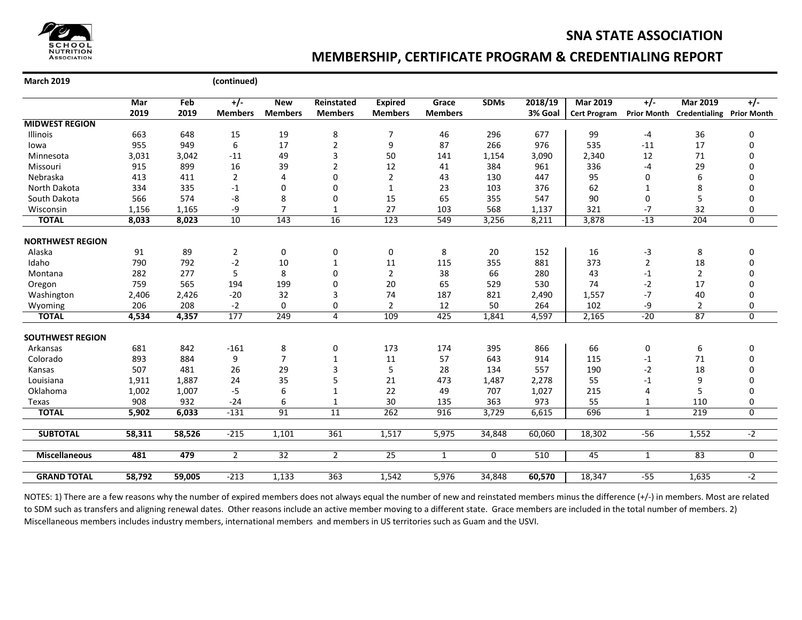

### **MEMBERSHIP, CERTIFICATE PROGRAM & CREDENTIALING REPORT**

**March 2019 (continued)**

|                         | Mar    | Feb    | +/-            | <b>New</b>     | Reinstated     | <b>Expired</b> | Grace          | <b>SDMs</b> | 2018/19 | <b>Mar 2019</b>     | $+/-$              | <b>Mar 2019</b>                  | $+/-$          |
|-------------------------|--------|--------|----------------|----------------|----------------|----------------|----------------|-------------|---------|---------------------|--------------------|----------------------------------|----------------|
|                         | 2019   | 2019   | <b>Members</b> | <b>Members</b> | <b>Members</b> | <b>Members</b> | <b>Members</b> |             | 3% Goal | <b>Cert Program</b> | <b>Prior Month</b> | <b>Credentialing Prior Month</b> |                |
| <b>MIDWEST REGION</b>   |        |        |                |                |                |                |                |             |         |                     |                    |                                  |                |
| Illinois                | 663    | 648    | 15             | 19             | 8              | 7              | 46             | 296         | 677     | 99                  | $-4$               | 36                               | 0              |
| lowa                    | 955    | 949    | 6              | 17             | $\overline{2}$ | 9              | 87             | 266         | 976     | 535                 | $-11$              | 17                               | 0              |
| Minnesota               | 3,031  | 3,042  | $-11$          | 49             | 3              | 50             | 141            | 1,154       | 3,090   | 2,340               | 12                 | 71                               | $\Omega$       |
| Missouri                | 915    | 899    | 16             | 39             | $\overline{2}$ | 12             | 41             | 384         | 961     | 336                 | $-4$               | 29                               | $\Omega$       |
| Nebraska                | 413    | 411    | $\overline{2}$ | $\overline{4}$ | 0              | 2              | 43             | 130         | 447     | 95                  | 0                  | 6                                | 0              |
| North Dakota            | 334    | 335    | $-1$           | $\Omega$       | $\mathbf 0$    | $\mathbf{1}$   | 23             | 103         | 376     | 62                  | $\mathbf{1}$       | 8                                | 0              |
| South Dakota            | 566    | 574    | -8             | 8              | $\mathbf 0$    | 15             | 65             | 355         | 547     | 90                  | 0                  | 5                                | 0              |
| Wisconsin               | 1,156  | 1,165  | -9             | $\overline{7}$ | $\mathbf{1}$   | 27             | 103            | 568         | 1,137   | 321                 | $-7$               | 32                               | 0              |
| <b>TOTAL</b>            | 8,033  | 8,023  | 10             | 143            | 16             | 123            | 549            | 3,256       | 8,211   | 3,878               | $-13$              | 204                              | $\overline{0}$ |
| <b>NORTHWEST REGION</b> |        |        |                |                |                |                |                |             |         |                     |                    |                                  |                |
| Alaska                  | 91     | 89     | $\overline{2}$ | $\mathbf 0$    | 0              | 0              | 8              | 20          | 152     | 16                  | $-3$               | 8                                | 0              |
| Idaho                   | 790    | 792    | $-2$           | 10             | $\mathbf{1}$   | 11             | 115            | 355         | 881     | 373                 | $\overline{2}$     | 18                               | 0              |
| Montana                 | 282    | 277    | 5              | 8              | $\Omega$       | $\overline{2}$ | 38             | 66          | 280     | 43                  | $^{\rm -1}$        | $\overline{2}$                   | 0              |
| Oregon                  | 759    | 565    | 194            | 199            | $\Omega$       | 20             | 65             | 529         | 530     | 74                  | $-2$               | 17                               | 0              |
| Washington              | 2,406  | 2,426  | $-20$          | 32             | 3              | 74             | 187            | 821         | 2,490   | 1,557               | $-7$               | 40                               | 0              |
| Wyoming                 | 206    | 208    | $-2$           | 0              | 0              | $\overline{2}$ | 12             | 50          | 264     | 102                 | -9                 | $\overline{2}$                   | 0              |
| <b>TOTAL</b>            | 4,534  | 4,357  | 177            | 249            | 4              | 109            | 425            | 1,841       | 4,597   | 2,165               | $-20$              | 87                               | $\overline{0}$ |
| <b>SOUTHWEST REGION</b> |        |        |                |                |                |                |                |             |         |                     |                    |                                  |                |
| Arkansas                | 681    | 842    | $-161$         | 8              | 0              | 173            | 174            | 395         | 866     | 66                  | 0                  | 6                                | 0              |
| Colorado                | 893    | 884    | 9              | $\overline{7}$ | 1              | 11             | 57             | 643         | 914     | 115                 | $-1$               | 71                               | 0              |
| Kansas                  | 507    | 481    | 26             | 29             | 3              | 5              | 28             | 134         | 557     | 190                 | $-2$               | 18                               | 0              |
| Louisiana               | 1,911  | 1,887  | 24             | 35             | 5              | 21             | 473            | 1,487       | 2,278   | 55                  | $-1$               | 9                                | 0              |
| Oklahoma                | 1,002  | 1,007  | $-5$           | 6              | 1              | 22             | 49             | 707         | 1,027   | 215                 | 4                  | 5                                | 0              |
| Texas                   | 908    | 932    | $-24$          | 6              | $\mathbf{1}$   | 30             | 135            | 363         | 973     | 55                  | $\mathbf{1}$       | 110                              | 0              |
| <b>TOTAL</b>            | 5,902  | 6,033  | $-131$         | 91             | 11             | 262            | 916            | 3,729       | 6,615   | 696                 | $\mathbf{1}$       | 219                              | $\overline{0}$ |
| <b>SUBTOTAL</b>         | 58,311 | 58,526 | $-215$         | 1,101          | 361            |                | 5,975          |             | 60,060  |                     | $-56$              |                                  | $-2$           |
|                         |        |        |                |                |                | 1,517          |                | 34,848      |         | 18,302              |                    | 1,552                            |                |
| <b>Miscellaneous</b>    | 481    | 479    | $\overline{2}$ | 32             | $\overline{2}$ | 25             | 1              | 0           | 510     | 45                  | $\mathbf{1}$       | 83                               | 0              |
| <b>GRAND TOTAL</b>      | 58,792 | 59,005 | $-213$         | 1,133          | 363            | 1,542          | 5,976          | 34,848      | 60,570  | 18,347              | $-55$              | 1,635                            | $-2$           |
|                         |        |        |                |                |                |                |                |             |         |                     |                    |                                  |                |

NOTES: 1) There are a few reasons why the number of expired members does not always equal the number of new and reinstated members minus the difference (+/-) in members. Most are related to SDM such as transfers and aligning renewal dates. Other reasons include an active member moving to a different state. Grace members are included in the total number of members. 2) Miscellaneous members includes industry members, international members and members in US territories such as Guam and the USVI.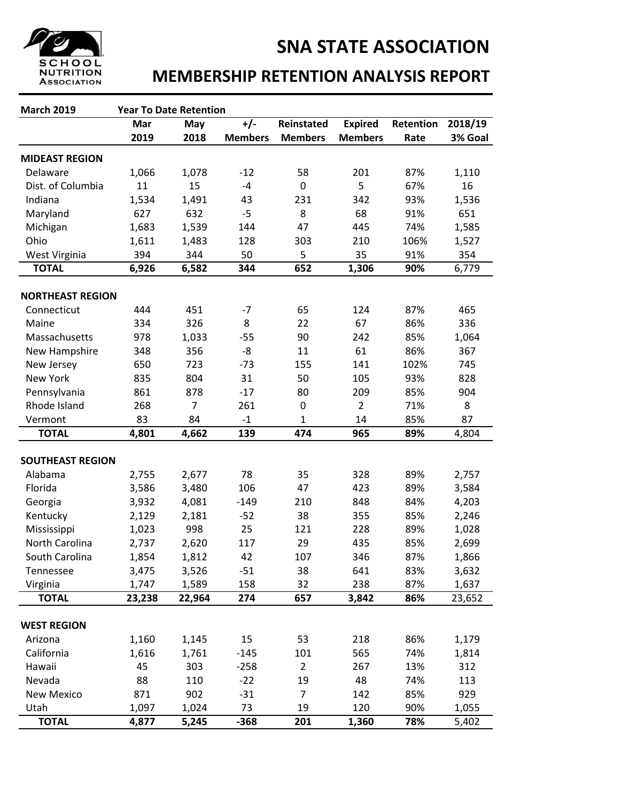

## **MEMBERSHIP RETENTION ANALYSIS REPORT**

| <b>March 2019</b>       | <b>Year To Date Retention</b> |                |                |                |                |           |         |
|-------------------------|-------------------------------|----------------|----------------|----------------|----------------|-----------|---------|
|                         | Mar                           | May            | $+/-$          | Reinstated     | <b>Expired</b> | Retention | 2018/19 |
|                         | 2019                          | 2018           | <b>Members</b> | <b>Members</b> | <b>Members</b> | Rate      | 3% Goal |
| <b>MIDEAST REGION</b>   |                               |                |                |                |                |           |         |
| Delaware                | 1,066                         | 1,078          | $-12$          | 58             | 201            | 87%       | 1,110   |
| Dist. of Columbia       | 11                            | 15             | $-4$           | $\mathbf 0$    | 5              | 67%       | 16      |
| Indiana                 | 1,534                         | 1,491          | 43             | 231            | 342            | 93%       | 1,536   |
| Maryland                | 627                           | 632            | $-5$           | 8              | 68             | 91%       | 651     |
| Michigan                | 1,683                         | 1,539          | 144            | 47             | 445            | 74%       | 1,585   |
| Ohio                    | 1,611                         | 1,483          | 128            | 303            | 210            | 106%      | 1,527   |
| West Virginia           | 394                           | 344            | 50             | 5              | 35             | 91%       | 354     |
| <b>TOTAL</b>            | 6,926                         | 6,582          | 344            | 652            | 1,306          | 90%       | 6,779   |
|                         |                               |                |                |                |                |           |         |
| <b>NORTHEAST REGION</b> |                               |                |                |                |                |           |         |
| Connecticut             | 444                           | 451            | $-7$           | 65             | 124            | 87%       | 465     |
| Maine                   | 334                           | 326            | 8              | 22             | 67             | 86%       | 336     |
| Massachusetts           | 978                           | 1,033          | $-55$          | 90             | 242            | 85%       | 1,064   |
| New Hampshire           | 348                           | 356            | -8             | 11             | 61             | 86%       | 367     |
| New Jersey              | 650                           | 723            | $-73$          | 155            | 141            | 102%      | 745     |
| <b>New York</b>         | 835                           | 804            | 31             | 50             | 105            | 93%       | 828     |
| Pennsylvania            | 861                           | 878            | $-17$          | 80             | 209            | 85%       | 904     |
| Rhode Island            | 268                           | $\overline{7}$ | 261            | $\mathbf 0$    | $\overline{2}$ | 71%       | 8       |
| Vermont                 | 83                            | 84             | $-1$           | $\mathbf{1}$   | 14             | 85%       | 87      |
| <b>TOTAL</b>            | 4,801                         | 4,662          | 139            | 474            | 965            | 89%       | 4,804   |
| <b>SOUTHEAST REGION</b> |                               |                |                |                |                |           |         |
| Alabama                 | 2,755                         | 2,677          | 78             | 35             | 328            | 89%       | 2,757   |
| Florida                 | 3,586                         | 3,480          | 106            | 47             | 423            | 89%       | 3,584   |
| Georgia                 | 3,932                         | 4,081          | $-149$         | 210            | 848            | 84%       | 4,203   |
| Kentucky                | 2,129                         | 2,181          | $-52$          | 38             | 355            | 85%       | 2,246   |
| Mississippi             | 1,023                         | 998            | 25             | 121            | 228            | 89%       | 1,028   |
| North Carolina          | 2,737                         | 2,620          | 117            | 29             | 435            | 85%       | 2,699   |
| South Carolina          | 1,854                         | 1,812          | 42             | 107            | 346            | 87%       | 1,866   |
| Tennessee               | 3,475                         | 3,526          | $-51$          | 38             | 641            | 83%       | 3,632   |
| Virginia                | 1,747                         | 1,589          | 158            | 32             | 238            | 87%       | 1,637   |
| <b>TOTAL</b>            | 23,238                        | 22,964         | 274            | 657            | 3,842          | 86%       | 23,652  |
|                         |                               |                |                |                |                |           |         |
| <b>WEST REGION</b>      |                               |                |                |                |                |           |         |
| Arizona                 | 1,160                         | 1,145          | 15             | 53             | 218            | 86%       | 1,179   |
| California              | 1,616                         | 1,761          | $-145$         | 101            | 565            | 74%       | 1,814   |
| Hawaii                  | 45                            | 303            | $-258$         | $\overline{2}$ | 267            | 13%       | 312     |
| Nevada                  | 88                            | 110            | $-22$          | 19             | 48             | 74%       | 113     |
| <b>New Mexico</b>       | 871                           | 902            | $-31$          | $\overline{7}$ | 142            | 85%       | 929     |
| Utah                    | 1,097                         | 1,024          | 73             | 19             | 120            | 90%       | 1,055   |
| <b>TOTAL</b>            | 4,877                         | 5,245          | $-368$         | 201            | 1,360          | 78%       | 5,402   |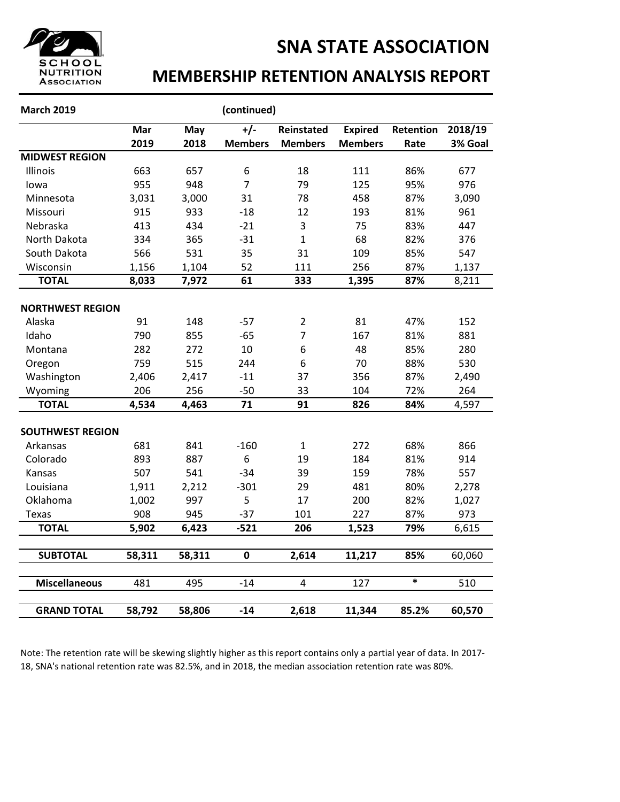

### **MEMBERSHIP RETENTION ANALYSIS REPORT**

| <b>March 2019</b>       |        |        | (continued)    |                         |                |           |         |
|-------------------------|--------|--------|----------------|-------------------------|----------------|-----------|---------|
|                         | Mar    | May    | $+/-$          | <b>Reinstated</b>       | <b>Expired</b> | Retention | 2018/19 |
|                         | 2019   | 2018   | <b>Members</b> | <b>Members</b>          | <b>Members</b> | Rate      | 3% Goal |
| <b>MIDWEST REGION</b>   |        |        |                |                         |                |           |         |
| Illinois                | 663    | 657    | 6              | 18                      | 111            | 86%       | 677     |
| lowa                    | 955    | 948    | $\overline{7}$ | 79                      | 125            | 95%       | 976     |
| Minnesota               | 3,031  | 3,000  | 31             | 78                      | 458            | 87%       | 3,090   |
| Missouri                | 915    | 933    | $-18$          | 12                      | 193            | 81%       | 961     |
| Nebraska                | 413    | 434    | $-21$          | 3                       | 75             | 83%       | 447     |
| North Dakota            | 334    | 365    | $-31$          | $\mathbf{1}$            | 68             | 82%       | 376     |
| South Dakota            | 566    | 531    | 35             | 31                      | 109            | 85%       | 547     |
| Wisconsin               | 1,156  | 1,104  | 52             | 111                     | 256            | 87%       | 1,137   |
| <b>TOTAL</b>            | 8,033  | 7,972  | 61             | 333                     | 1,395          | 87%       | 8,211   |
| <b>NORTHWEST REGION</b> |        |        |                |                         |                |           |         |
| Alaska                  | 91     | 148    | $-57$          | $\overline{2}$          | 81             | 47%       | 152     |
| Idaho                   | 790    | 855    | $-65$          | $\overline{7}$          | 167            | 81%       | 881     |
| Montana                 | 282    | 272    | 10             | 6                       | 48             | 85%       | 280     |
| Oregon                  | 759    | 515    | 244            | 6                       | 70             | 88%       | 530     |
| Washington              | 2,406  | 2,417  | $-11$          | 37                      | 356            | 87%       | 2,490   |
| Wyoming                 | 206    | 256    | $-50$          | 33                      | 104            | 72%       | 264     |
| <b>TOTAL</b>            | 4,534  | 4,463  | 71             | 91                      | 826            | 84%       | 4,597   |
|                         |        |        |                |                         |                |           |         |
| <b>SOUTHWEST REGION</b> |        |        |                |                         |                |           |         |
| Arkansas                | 681    | 841    | $-160$         | $\mathbf{1}$            | 272            | 68%       | 866     |
| Colorado                | 893    | 887    | 6              | 19                      | 184            | 81%       | 914     |
| Kansas                  | 507    | 541    | $-34$          | 39                      | 159            | 78%       | 557     |
| Louisiana               | 1,911  | 2,212  | $-301$         | 29                      | 481            | 80%       | 2,278   |
| Oklahoma                | 1,002  | 997    | 5              | 17                      | 200            | 82%       | 1,027   |
| <b>Texas</b>            | 908    | 945    | $-37$          | 101                     | 227            | 87%       | 973     |
| <b>TOTAL</b>            | 5,902  | 6,423  | $-521$         | 206                     | 1,523          | 79%       | 6,615   |
| <b>SUBTOTAL</b>         | 58,311 | 58,311 | $\mathbf 0$    | 2,614                   | 11,217         | 85%       | 60,060  |
|                         |        |        |                |                         |                |           |         |
| <b>Miscellaneous</b>    | 481    | 495    | $-14$          | $\overline{\mathbf{4}}$ | 127            | $\ast$    | 510     |
| <b>GRAND TOTAL</b>      | 58,792 | 58,806 | $-14$          | 2,618                   | 11,344         | 85.2%     | 60,570  |

Note: The retention rate will be skewing slightly higher as this report contains only a partial year of data. In 2017- 18, SNA's national retention rate was 82.5%, and in 2018, the median association retention rate was 80%.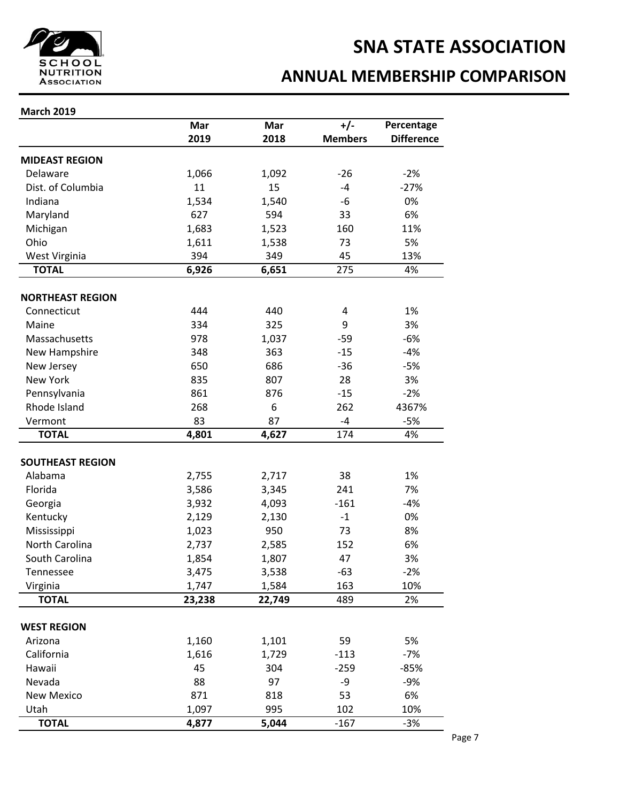

### **ANNUAL MEMBERSHIP COMPARISON**

|                         | Mar    | Mar    | $+/-$          | Percentage        |
|-------------------------|--------|--------|----------------|-------------------|
|                         | 2019   | 2018   | <b>Members</b> | <b>Difference</b> |
| <b>MIDEAST REGION</b>   |        |        |                |                   |
| Delaware                | 1,066  | 1,092  | $-26$          | $-2%$             |
| Dist. of Columbia       | 11     | 15     | $-4$           | $-27%$            |
| Indiana                 | 1,534  | 1,540  | -6             | 0%                |
| Maryland                | 627    | 594    | 33             | 6%                |
| Michigan                | 1,683  | 1,523  | 160            | 11%               |
| Ohio                    | 1,611  | 1,538  | 73             | 5%                |
| West Virginia           | 394    | 349    | 45             | 13%               |
| <b>TOTAL</b>            | 6,926  | 6,651  | 275            | 4%                |
| <b>NORTHEAST REGION</b> |        |        |                |                   |
| Connecticut             | 444    | 440    | 4              | 1%                |
| Maine                   | 334    | 325    | 9              | 3%                |
| Massachusetts           | 978    | 1,037  | $-59$          | $-6%$             |
| New Hampshire           | 348    | 363    | $-15$          | $-4%$             |
| New Jersey              | 650    | 686    | $-36$          | $-5%$             |
| New York                | 835    | 807    | 28             | 3%                |
| Pennsylvania            | 861    | 876    | $-15$          | $-2%$             |
| Rhode Island            | 268    | 6      | 262            | 4367%             |
| Vermont                 | 83     | 87     | -4             | $-5%$             |
| <b>TOTAL</b>            | 4,801  | 4,627  | 174            | 4%                |
|                         |        |        |                |                   |
| <b>SOUTHEAST REGION</b> |        |        |                |                   |
| Alabama                 | 2,755  | 2,717  | 38             | 1%                |
| Florida                 | 3,586  | 3,345  | 241            | 7%                |
| Georgia                 | 3,932  | 4,093  | $-161$         | $-4%$             |
| Kentucky                | 2,129  | 2,130  | $-1$           | 0%                |
| Mississippi             | 1,023  | 950    | 73             | 8%                |
| North Carolina          | 2,737  | 2,585  | 152            | 6%                |
| South Carolina          | 1,854  | 1,807  | 47             | 3%                |
| Tennessee               | 3,475  | 3,538  | -63            | 2%                |
| Virginia                | 1,747  | 1,584  | 163            | 10%               |
| <b>TOTAL</b>            | 23,238 | 22,749 | 489            | 2%                |
| <b>WEST REGION</b>      |        |        |                |                   |
| Arizona                 | 1,160  | 1,101  | 59             | 5%                |
| California              | 1,616  | 1,729  | $-113$         | $-7%$             |
| Hawaii                  | 45     | 304    | $-259$         | $-85%$            |
| Nevada                  | 88     | 97     | -9             | $-9%$             |
| <b>New Mexico</b>       | 871    | 818    | 53             | 6%                |
| Utah                    | 1,097  | 995    | 102            | 10%               |
| <b>TOTAL</b>            | 4,877  | 5,044  | $-167$         | $-3%$             |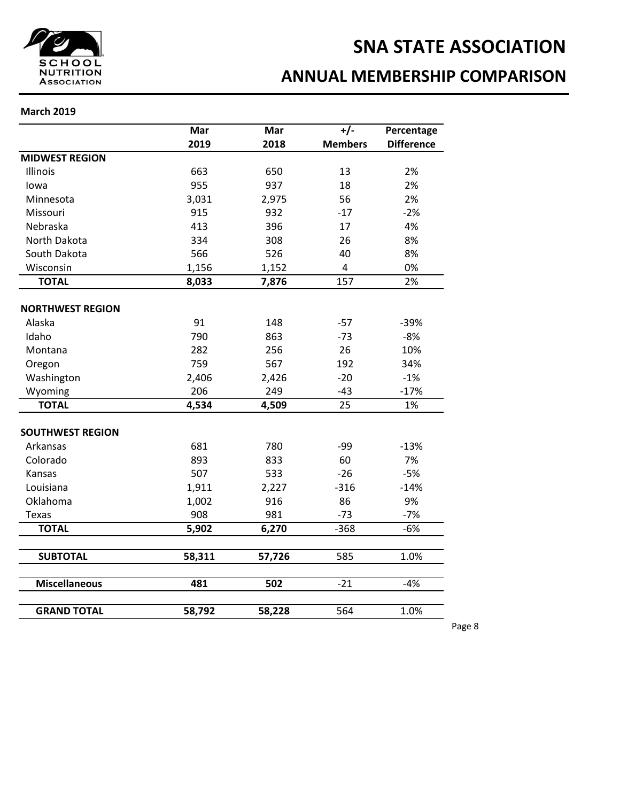

### **ANNUAL MEMBERSHIP COMPARISON**

#### **March 2019**

|                         | Mar    | Mar    | $+/-$                   | Percentage        |
|-------------------------|--------|--------|-------------------------|-------------------|
|                         | 2019   | 2018   | <b>Members</b>          | <b>Difference</b> |
| <b>MIDWEST REGION</b>   |        |        |                         |                   |
| Illinois                | 663    | 650    | 13                      | 2%                |
| lowa                    | 955    | 937    | 18                      | 2%                |
| Minnesota               | 3,031  | 2,975  | 56                      | 2%                |
| Missouri                | 915    | 932    | $-17$                   | $-2%$             |
| Nebraska                | 413    | 396    | 17                      | 4%                |
| North Dakota            | 334    | 308    | 26                      | 8%                |
| South Dakota            | 566    | 526    | 40                      | 8%                |
| Wisconsin               | 1,156  | 1,152  | $\overline{\mathbf{4}}$ | 0%                |
| <b>TOTAL</b>            | 8,033  | 7,876  | 157                     | 2%                |
| <b>NORTHWEST REGION</b> |        |        |                         |                   |
| Alaska                  | 91     | 148    | $-57$                   | $-39%$            |
| Idaho                   | 790    | 863    | $-73$                   | $-8%$             |
| Montana                 | 282    | 256    | 26                      | 10%               |
| Oregon                  | 759    | 567    | 192                     | 34%               |
| Washington              | 2,406  | 2,426  | $-20$                   | $-1%$             |
| Wyoming                 | 206    | 249    | $-43$                   | $-17%$            |
| <b>TOTAL</b>            | 4,534  | 4,509  | 25                      | 1%                |
| <b>SOUTHWEST REGION</b> |        |        |                         |                   |
| Arkansas                | 681    | 780    | $-99$                   | $-13%$            |
| Colorado                | 893    | 833    | 60                      | 7%                |
| Kansas                  | 507    | 533    | $-26$                   | $-5%$             |
| Louisiana               | 1,911  | 2,227  | $-316$                  | $-14%$            |
| Oklahoma                | 1,002  | 916    | 86                      | 9%                |
| <b>Texas</b>            | 908    | 981    | $-73$                   | $-7%$             |
| <b>TOTAL</b>            | 5,902  | 6,270  | $-368$                  | $-6%$             |
|                         |        |        |                         |                   |
| <b>SUBTOTAL</b>         | 58,311 | 57,726 | 585                     | 1.0%              |
| <b>Miscellaneous</b>    | 481    | 502    | $-21$                   | $-4%$             |
| <b>GRAND TOTAL</b>      | 58,792 | 58,228 | 564                     | 1.0%              |

Page 8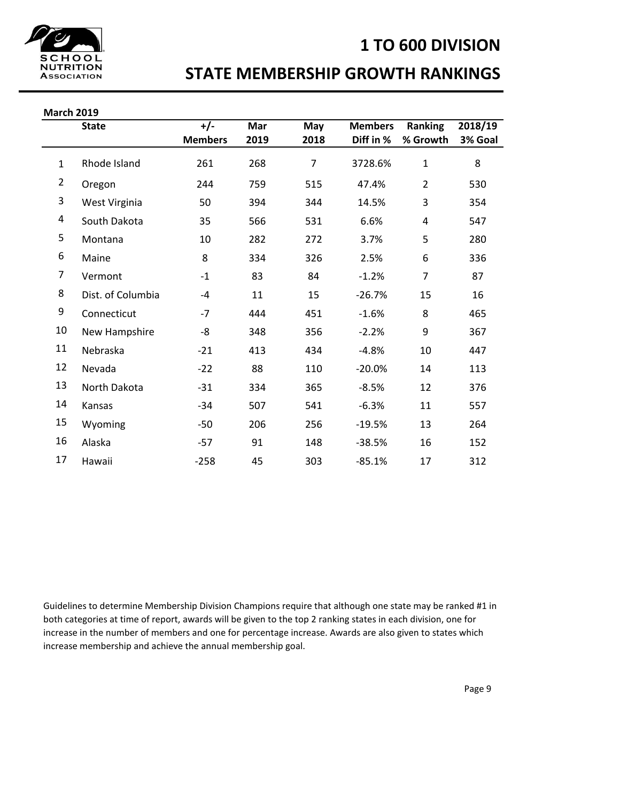### **1 TO 600 DIVISION**



### **STATE MEMBERSHIP GROWTH RANKINGS**

| <b>March 2019</b> |                   |                |      |                |                |                |         |  |  |
|-------------------|-------------------|----------------|------|----------------|----------------|----------------|---------|--|--|
|                   | <b>State</b>      | $+/-$          | Mar  | May            | <b>Members</b> | Ranking        | 2018/19 |  |  |
|                   |                   | <b>Members</b> | 2019 | 2018           | Diff in %      | % Growth       | 3% Goal |  |  |
| $\mathbf{1}$      | Rhode Island      | 261            | 268  | $\overline{7}$ | 3728.6%        | $\mathbf{1}$   | 8       |  |  |
| $\overline{2}$    | Oregon            | 244            | 759  | 515            | 47.4%          | $\overline{2}$ | 530     |  |  |
| 3                 | West Virginia     | 50             | 394  | 344            | 14.5%          | 3              | 354     |  |  |
| 4                 | South Dakota      | 35             | 566  | 531            | 6.6%           | 4              | 547     |  |  |
| 5                 | Montana           | 10             | 282  | 272            | 3.7%           | 5              | 280     |  |  |
| 6                 | Maine             | 8              | 334  | 326            | 2.5%           | 6              | 336     |  |  |
| 7                 | Vermont           | $-1$           | 83   | 84             | $-1.2%$        | $\overline{7}$ | 87      |  |  |
| 8                 | Dist. of Columbia | $-4$           | 11   | 15             | $-26.7%$       | 15             | 16      |  |  |
| 9                 | Connecticut       | $-7$           | 444  | 451            | $-1.6%$        | 8              | 465     |  |  |
| 10                | New Hampshire     | -8             | 348  | 356            | $-2.2%$        | 9              | 367     |  |  |
| 11                | Nebraska          | $-21$          | 413  | 434            | $-4.8%$        | 10             | 447     |  |  |
| 12                | Nevada            | $-22$          | 88   | 110            | $-20.0%$       | 14             | 113     |  |  |
| 13                | North Dakota      | $-31$          | 334  | 365            | $-8.5%$        | 12             | 376     |  |  |
| 14                | Kansas            | -34            | 507  | 541            | $-6.3%$        | 11             | 557     |  |  |
| 15                | Wyoming           | $-50$          | 206  | 256            | $-19.5%$       | 13             | 264     |  |  |
| 16                | Alaska            | $-57$          | 91   | 148            | $-38.5%$       | 16             | 152     |  |  |
| 17                | Hawaii            | $-258$         | 45   | 303            | $-85.1%$       | 17             | 312     |  |  |

Guidelines to determine Membership Division Champions require that although one state may be ranked #1 in both categories at time of report, awards will be given to the top 2 ranking states in each division, one for increase in the number of members and one for percentage increase. Awards are also given to states which increase membership and achieve the annual membership goal.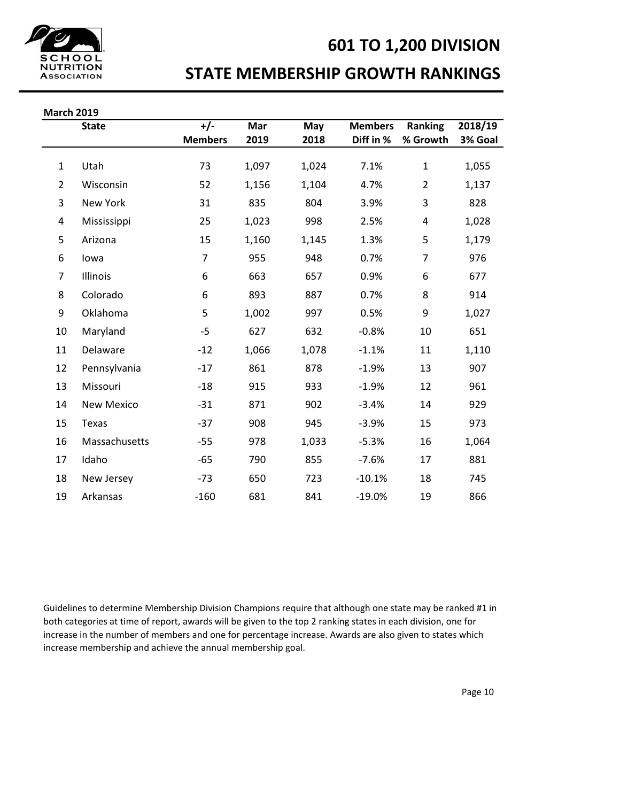

### **601 TO 1,200 DIVISION**

### **STATE MEMBERSHIP GROWTH RANKINGS**

| <b>March 2019</b> |  |
|-------------------|--|
|                   |  |

| VIAI LII ZUIJ  |                   |                |       |       |                |                |         |
|----------------|-------------------|----------------|-------|-------|----------------|----------------|---------|
|                | <b>State</b>      | $+/-$          | Mar   | May   | <b>Members</b> | <b>Ranking</b> | 2018/19 |
|                |                   | <b>Members</b> | 2019  | 2018  | Diff in %      | % Growth       | 3% Goal |
|                |                   |                |       |       |                |                |         |
| $\mathbf{1}$   | Utah              | 73             | 1,097 | 1,024 | 7.1%           | $\mathbf{1}$   | 1,055   |
| $\overline{2}$ | Wisconsin         | 52             | 1,156 | 1,104 | 4.7%           | $\overline{2}$ | 1,137   |
| 3              | New York          | 31             | 835   | 804   | 3.9%           | 3              | 828     |
| 4              | Mississippi       | 25             | 1,023 | 998   | 2.5%           | 4              | 1,028   |
| 5              | Arizona           | 15             | 1,160 | 1,145 | 1.3%           | 5              | 1,179   |
| 6              | lowa              | $\overline{7}$ | 955   | 948   | 0.7%           | $\overline{7}$ | 976     |
| 7              | Illinois          | 6              | 663   | 657   | 0.9%           | 6              | 677     |
| 8              | Colorado          | 6              | 893   | 887   | 0.7%           | 8              | 914     |
| 9              | Oklahoma          | 5              | 1,002 | 997   | 0.5%           | 9              | 1,027   |
| 10             | Maryland          | $-5$           | 627   | 632   | $-0.8%$        | 10             | 651     |
| 11             | Delaware          | $-12$          | 1,066 | 1,078 | $-1.1%$        | $11\,$         | 1,110   |
| 12             | Pennsylvania      | $-17$          | 861   | 878   | $-1.9%$        | 13             | 907     |
| 13             | Missouri          | $-18$          | 915   | 933   | $-1.9%$        | 12             | 961     |
| 14             | <b>New Mexico</b> | $-31$          | 871   | 902   | $-3.4%$        | 14             | 929     |
| 15             | Texas             | $-37$          | 908   | 945   | $-3.9%$        | 15             | 973     |
| 16             | Massachusetts     | $-55$          | 978   | 1,033 | $-5.3%$        | 16             | 1,064   |
| 17             | Idaho             | $-65$          | 790   | 855   | $-7.6%$        | 17             | 881     |
| 18             | New Jersey        | $-73$          | 650   | 723   | $-10.1%$       | 18             | 745     |
| 19             | Arkansas          | $-160$         | 681   | 841   | $-19.0%$       | 19             | 866     |

Guidelines to determine Membership Division Champions require that although one state may be ranked #1 in both categories at time of report, awards will be given to the top 2 ranking states in each division, one for increase in the number of members and one for percentage increase. Awards are also given to states which increase membership and achieve the annual membership goal.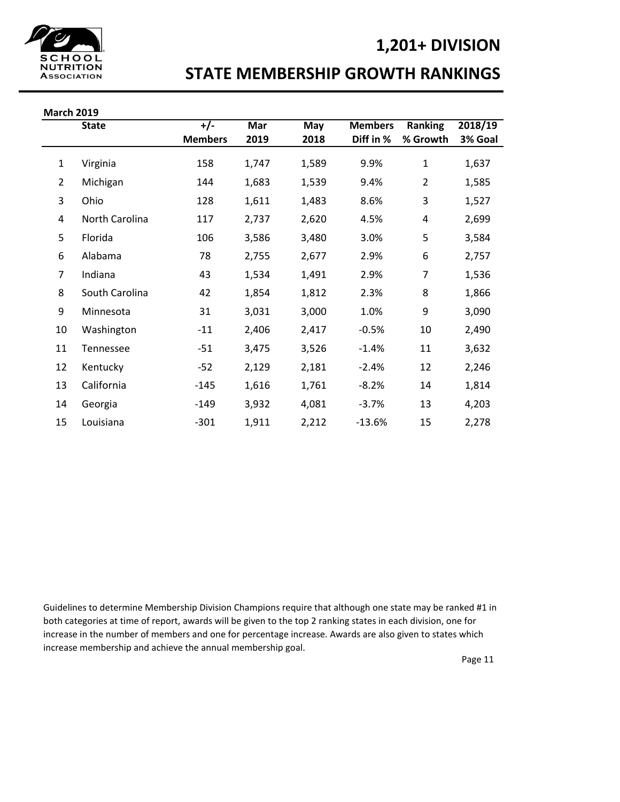### **1,201+ DIVISION**



### **STATE MEMBERSHIP GROWTH RANKINGS**

| <b>March 2019</b> |                |                |       |       |                |                |         |
|-------------------|----------------|----------------|-------|-------|----------------|----------------|---------|
|                   | <b>State</b>   | $+/-$          | Mar   | May   | <b>Members</b> | <b>Ranking</b> | 2018/19 |
|                   |                | <b>Members</b> | 2019  | 2018  | Diff in %      | % Growth       | 3% Goal |
| $\mathbf{1}$      | Virginia       | 158            | 1,747 | 1,589 | 9.9%           | $\mathbf{1}$   | 1,637   |
| 2                 | Michigan       | 144            | 1,683 | 1,539 | 9.4%           | $\overline{2}$ | 1,585   |
| 3                 | Ohio           | 128            | 1,611 | 1,483 | 8.6%           | 3              | 1,527   |
| 4                 | North Carolina | 117            | 2,737 | 2,620 | 4.5%           | 4              | 2,699   |
| 5                 | Florida        | 106            | 3,586 | 3,480 | 3.0%           | 5              | 3,584   |
| 6                 | Alabama        | 78             | 2,755 | 2,677 | 2.9%           | 6              | 2,757   |
| 7                 | Indiana        | 43             | 1,534 | 1,491 | 2.9%           | 7              | 1,536   |
| 8                 | South Carolina | 42             | 1,854 | 1,812 | 2.3%           | 8              | 1,866   |
| 9                 | Minnesota      | 31             | 3,031 | 3,000 | 1.0%           | 9              | 3,090   |
| 10                | Washington     | $-11$          | 2,406 | 2,417 | $-0.5%$        | 10             | 2,490   |
| 11                | Tennessee      | $-51$          | 3,475 | 3,526 | $-1.4%$        | 11             | 3,632   |
| 12                | Kentucky       | $-52$          | 2,129 | 2,181 | $-2.4%$        | 12             | 2,246   |
| 13                | California     | $-145$         | 1,616 | 1,761 | $-8.2%$        | 14             | 1,814   |
| 14                | Georgia        | $-149$         | 3,932 | 4,081 | $-3.7%$        | 13             | 4,203   |
| 15                | Louisiana      | $-301$         | 1,911 | 2,212 | $-13.6%$       | 15             | 2,278   |

Guidelines to determine Membership Division Champions require that although one state may be ranked #1 in both categories at time of report, awards will be given to the top 2 ranking states in each division, one for increase in the number of members and one for percentage increase. Awards are also given to states which increase membership and achieve the annual membership goal.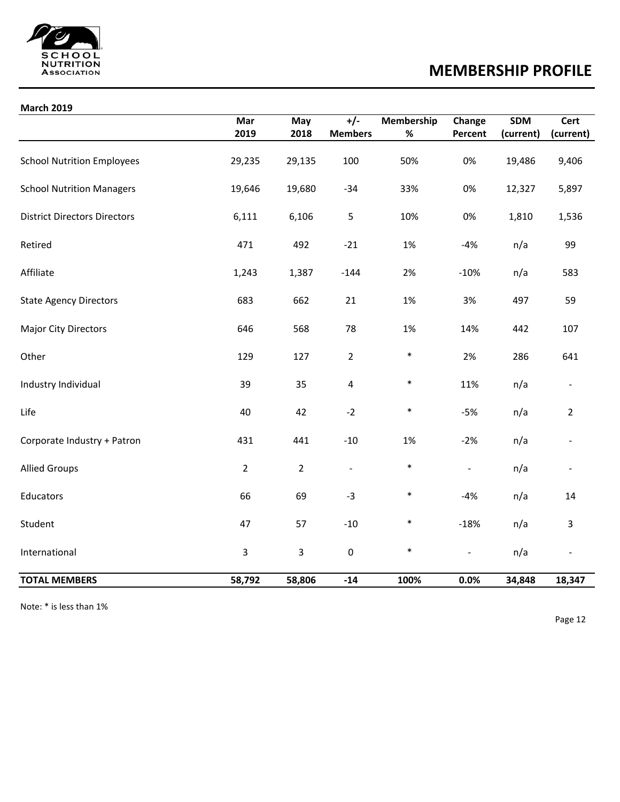

## **MEMBERSHIP PROFILE**

#### **March 2019**

|                                     | Mar            | May            | $+/-$          | <b>Membership</b> | Change         | <b>SDM</b> | Cert           |
|-------------------------------------|----------------|----------------|----------------|-------------------|----------------|------------|----------------|
|                                     | 2019           | 2018           | <b>Members</b> | $\%$              | Percent        | (current)  | (current)      |
| <b>School Nutrition Employees</b>   | 29,235         | 29,135         | 100            | 50%               | 0%             | 19,486     | 9,406          |
| <b>School Nutrition Managers</b>    | 19,646         | 19,680         | $-34$          | 33%               | 0%             | 12,327     | 5,897          |
| <b>District Directors Directors</b> | 6,111          | 6,106          | 5              | 10%               | 0%             | 1,810      | 1,536          |
| Retired                             | 471            | 492            | $-21$          | 1%                | $-4%$          | n/a        | 99             |
| Affiliate                           | 1,243          | 1,387          | $-144$         | 2%                | $-10%$         | n/a        | 583            |
| <b>State Agency Directors</b>       | 683            | 662            | 21             | 1%                | 3%             | 497        | 59             |
| <b>Major City Directors</b>         | 646            | 568            | 78             | 1%                | 14%            | 442        | 107            |
| Other                               | 129            | 127            | $\overline{2}$ | $\ast$            | 2%             | 286        | 641            |
| Industry Individual                 | 39             | 35             | 4              | $\ast$            | 11%            | n/a        | $\blacksquare$ |
| Life                                | 40             | 42             | $-2$           | $\ast$            | $-5%$          | n/a        | $\overline{2}$ |
| Corporate Industry + Patron         | 431            | 441            | $-10$          | 1%                | $-2%$          | n/a        | $\blacksquare$ |
| <b>Allied Groups</b>                | $\overline{2}$ | $\overline{2}$ | $\blacksquare$ | $\ast$            | $\blacksquare$ | n/a        | $\blacksquare$ |
| Educators                           | 66             | 69             | $-3$           | $\ast$            | $-4%$          | n/a        | 14             |
| Student                             | 47             | 57             | $-10$          | $\ast$            | $-18%$         | n/a        | 3              |
| International                       | 3              | $\overline{3}$ | $\pmb{0}$      | $\ast$            | $\blacksquare$ | n/a        | $\blacksquare$ |
| <b>TOTAL MEMBERS</b>                | 58,792         | 58,806         | $-14$          | 100%              | 0.0%           | 34,848     | 18,347         |

Note: \* is less than 1%

Page 12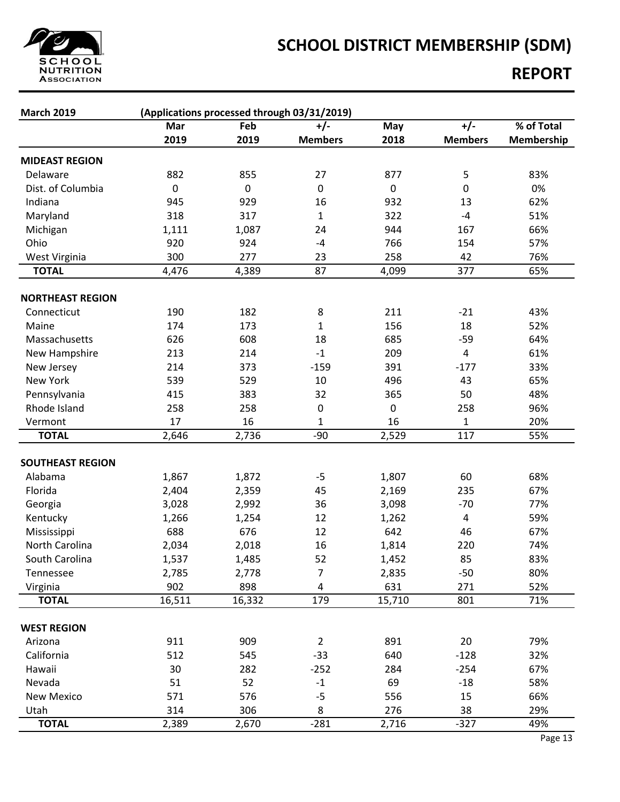

# **SCHOOL DISTRICT MEMBERSHIP (SDM)**

### **REPORT**

| <b>March 2019</b><br>(Applications processed through 03/31/2019) |           |              |                |           |                |            |  |  |
|------------------------------------------------------------------|-----------|--------------|----------------|-----------|----------------|------------|--|--|
|                                                                  | Mar       | Feb          | $+/-$          | May       | $+/-$          | % of Total |  |  |
|                                                                  | 2019      | 2019         | <b>Members</b> | 2018      | <b>Members</b> | Membership |  |  |
| <b>MIDEAST REGION</b>                                            |           |              |                |           |                |            |  |  |
| Delaware                                                         | 882       | 855          | 27             | 877       | 5              | 83%        |  |  |
| Dist. of Columbia                                                | $\pmb{0}$ | $\pmb{0}$    | $\pmb{0}$      | $\pmb{0}$ | 0              | 0%         |  |  |
| Indiana                                                          | 945       | 929          | 16             | 932       | 13             | 62%        |  |  |
| Maryland                                                         | 318       | 317          | $\mathbf{1}$   | 322       | $-4$           | 51%        |  |  |
| Michigan                                                         | 1,111     | 1,087        | 24             | 944       | 167            | 66%        |  |  |
| Ohio                                                             | 920       | 924          | $-4$           | 766       | 154            | 57%        |  |  |
| West Virginia                                                    | 300       | 277          | 23             | 258       | 42             | 76%        |  |  |
| <b>TOTAL</b>                                                     | 4,476     | 4,389        | 87             | 4,099     | 377            | 65%        |  |  |
|                                                                  |           |              |                |           |                |            |  |  |
| <b>NORTHEAST REGION</b>                                          |           |              |                |           |                |            |  |  |
| Connecticut                                                      | 190       | 182          | 8              | 211       | $-21$          | 43%        |  |  |
| Maine                                                            | 174       | 173          | 1              | 156       | 18             | 52%        |  |  |
| Massachusetts                                                    | 626       | 608          | 18             | 685       | $-59$          | 64%        |  |  |
| New Hampshire                                                    | 213       | 214          | $-1$           | 209       | $\overline{4}$ | 61%        |  |  |
| New Jersey                                                       | 214       | 373          | $-159$         | 391       | $-177$         | 33%        |  |  |
| New York                                                         | 539       | 529          | 10             | 496       | 43             | 65%        |  |  |
| Pennsylvania                                                     | 415       | 383          | 32             | 365       | 50             | 48%        |  |  |
| Rhode Island                                                     | 258       | 258          | 0              | 0         | 258            | 96%        |  |  |
| Vermont                                                          | 17        | 16           | 1              | 16        | $\mathbf{1}$   | 20%        |  |  |
| <b>TOTAL</b>                                                     | 2,646     | 2,736        | $-90$          | 2,529     | 117            | 55%        |  |  |
| <b>SOUTHEAST REGION</b>                                          |           |              |                |           |                |            |  |  |
| Alabama                                                          | 1,867     | 1,872        | $-5$           | 1,807     | 60             | 68%        |  |  |
| Florida                                                          | 2,404     | 2,359        | 45             | 2,169     | 235            | 67%        |  |  |
|                                                                  | 3,028     | 2,992        | 36             | 3,098     | $-70$          | 77%        |  |  |
| Georgia<br>Kentucky                                              | 1,266     |              | 12             | 1,262     | 4              | 59%        |  |  |
|                                                                  | 688       | 1,254<br>676 | 12             | 642       | 46             | 67%        |  |  |
| Mississippi<br>North Carolina                                    | 2,034     | 2,018        | 16             | 1,814     | 220            | 74%        |  |  |
| South Carolina                                                   | 1,537     | 1,485        | 52             | 1,452     | 85             | 83%        |  |  |
| Tennessee                                                        | 2,785     | 2,778        | $\overline{7}$ | 2,835     | $-50$          | 80%        |  |  |
| Virginia                                                         | 902       | 898          | 4              | 631       | 271            | 52%        |  |  |
| <b>TOTAL</b>                                                     | 16,511    | 16,332       | 179            | 15,710    | 801            | 71%        |  |  |
|                                                                  |           |              |                |           |                |            |  |  |
| <b>WEST REGION</b>                                               |           |              |                |           |                |            |  |  |
| Arizona                                                          | 911       | 909          | $\overline{2}$ | 891       | 20             | 79%        |  |  |
| California                                                       | 512       | 545          | $-33$          | 640       | $-128$         | 32%        |  |  |
| Hawaii                                                           | 30        | 282          | $-252$         | 284       | $-254$         | 67%        |  |  |
| Nevada                                                           | 51        | 52           | $-1$           | 69        | $-18$          | 58%        |  |  |
| New Mexico                                                       | 571       | 576          | $-5$           | 556       | 15             | 66%        |  |  |
| Utah                                                             | 314       | 306          | 8              | 276       | 38             | 29%        |  |  |
| <b>TOTAL</b>                                                     | 2,389     | 2,670        | $-281$         | 2,716     | $-327$         | 49%        |  |  |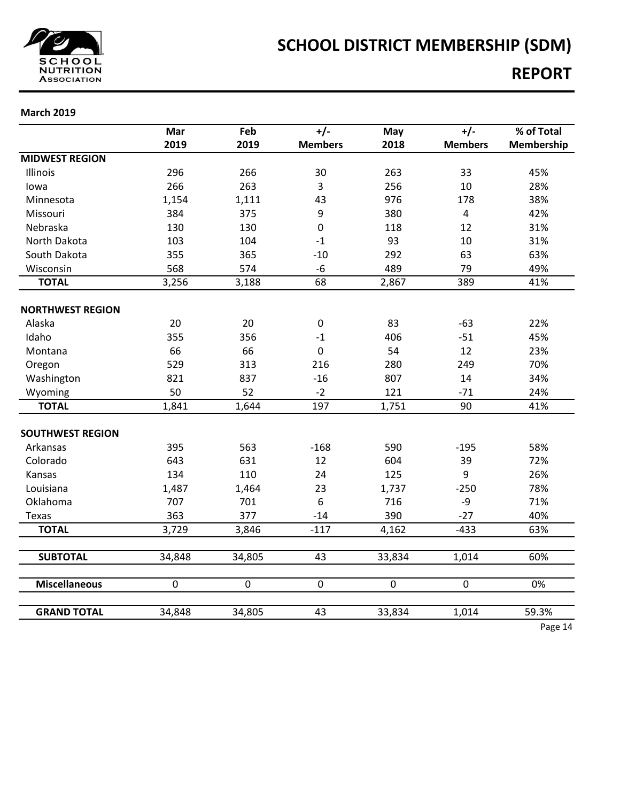

# **SCHOOL DISTRICT MEMBERSHIP (SDM)**

### **REPORT**

|                         | Mar            | Feb            | $+/-$          | May         | $+/-$          | % of Total |
|-------------------------|----------------|----------------|----------------|-------------|----------------|------------|
|                         | 2019           | 2019           | <b>Members</b> | 2018        | <b>Members</b> | Membership |
| <b>MIDWEST REGION</b>   |                |                |                |             |                |            |
| Illinois                | 296            | 266            | 30             | 263         | 33             | 45%        |
| lowa                    | 266            | 263            | $\overline{3}$ | 256         | 10             | 28%        |
| Minnesota               | 1,154          | 1,111          | 43             | 976         | 178            | 38%        |
| Missouri                | 384            | 375            | 9              | 380         | $\overline{4}$ | 42%        |
| Nebraska                | 130            | 130            | $\mathbf 0$    | 118         | 12             | 31%        |
| North Dakota            | 103            | 104            | $-1$           | 93          | 10             | 31%        |
| South Dakota            | 355            | 365            | $-10$          | 292         | 63             | 63%        |
| Wisconsin               | 568            | 574            | $-6$           | 489         | 79             | 49%        |
| <b>TOTAL</b>            | 3,256          | 3,188          | 68             | 2,867       | 389            | 41%        |
| <b>NORTHWEST REGION</b> |                |                |                |             |                |            |
| Alaska                  | 20             | 20             | $\pmb{0}$      | 83          | $-63$          | 22%        |
| Idaho                   | 355            | 356            | $-1$           | 406         | $-51$          | 45%        |
| Montana                 | 66             | 66             | $\mathbf 0$    | 54          | 12             | 23%        |
| Oregon                  | 529            | 313            | 216            | 280         | 249            | 70%        |
| Washington              | 821            | 837            | $-16$          | 807         | 14             | 34%        |
| Wyoming                 | 50             | 52             | $-2$           | 121         | $-71$          | 24%        |
| <b>TOTAL</b>            | 1,841          | 1,644          | 197            | 1,751       | 90             | 41%        |
|                         |                |                |                |             |                |            |
| <b>SOUTHWEST REGION</b> |                |                |                |             |                |            |
| Arkansas                | 395            | 563            | $-168$         | 590         | $-195$         | 58%        |
| Colorado                | 643            | 631            | 12             | 604         | 39             | 72%        |
| Kansas                  | 134            | 110            | 24             | 125         | 9              | 26%        |
| Louisiana               | 1,487          | 1,464          | 23             | 1,737       | $-250$         | 78%        |
| Oklahoma                | 707            | 701            | 6              | 716         | -9             | 71%        |
| Texas                   | 363            | 377            | $-14$          | 390         | $-27$          | 40%        |
| <b>TOTAL</b>            | 3,729          | 3,846          | $-117$         | 4,162       | $-433$         | 63%        |
|                         |                |                |                |             |                |            |
| <b>SUBTOTAL</b>         | 34,848         | 34,805         | 43             | 33,834      | 1,014          | 60%        |
| <b>Miscellaneous</b>    | $\overline{0}$ | $\overline{0}$ | $\mathbf 0$    | $\mathbf 0$ | $\overline{0}$ | 0%         |
| <b>GRAND TOTAL</b>      | 34,848         | 34,805         | 43             | 33,834      | 1,014          | 59.3%      |
|                         |                |                |                |             |                | Page 14    |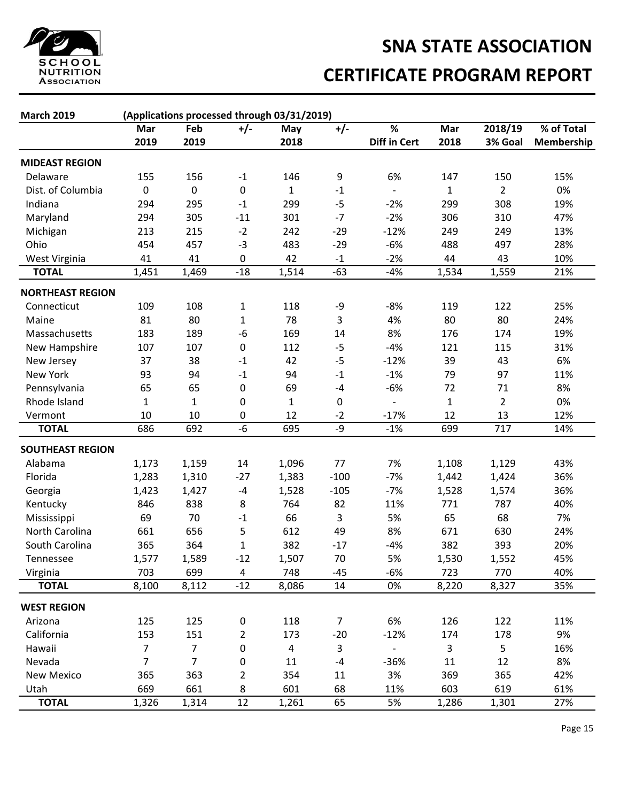![](_page_14_Picture_0.jpeg)

# **SNA STATE ASSOCIATION CERTIFICATE PROGRAM REPORT**

| <b>March 2019</b>                      | (Applications processed through 03/31/2019) |                |                |              |                |                          |              |                |            |  |
|----------------------------------------|---------------------------------------------|----------------|----------------|--------------|----------------|--------------------------|--------------|----------------|------------|--|
|                                        | Mar                                         | Feb            | $+/-$          | May          | $+/-$          | $\overline{\mathscr{C}}$ | Mar          | 2018/19        | % of Total |  |
|                                        | 2019                                        | 2019           |                | 2018         |                | <b>Diff in Cert</b>      | 2018         | 3% Goal        | Membership |  |
| <b>MIDEAST REGION</b>                  |                                             |                |                |              |                |                          |              |                |            |  |
| Delaware                               | 155                                         | 156            | $-1$           | 146          | 9              | 6%                       | 147          | 150            | 15%        |  |
| Dist. of Columbia                      | 0                                           | 0              | 0              | $\mathbf{1}$ | $-1$           |                          | $\mathbf{1}$ | $\overline{2}$ | 0%         |  |
| Indiana                                | 294                                         | 295            | $-1$           | 299          | $-5$           | $-2%$                    | 299          | 308            | 19%        |  |
| Maryland                               | 294                                         | 305            | $-11$          | 301          | $-7$           | $-2%$                    | 306          | 310            | 47%        |  |
| Michigan                               | 213                                         | 215            | $-2$           | 242          | $-29$          | $-12%$                   | 249          | 249            | 13%        |  |
| Ohio                                   | 454                                         | 457            | $-3$           | 483          | $-29$          | $-6%$                    | 488          | 497            | 28%        |  |
| West Virginia                          | 41                                          | 41             | 0              | 42           | $-1$           | $-2%$                    | 44           | 43             | 10%        |  |
| <b>TOTAL</b>                           | 1,451                                       | 1,469          | $-18$          | 1,514        | $-63$          | $-4%$                    | 1,534        | 1,559          | 21%        |  |
|                                        |                                             |                |                |              |                |                          |              |                |            |  |
| <b>NORTHEAST REGION</b><br>Connecticut | 109                                         | 108            | $\mathbf{1}$   | 118          | -9             | $-8%$                    | 119          | 122            | 25%        |  |
| Maine                                  | 81                                          | 80             | $\mathbf{1}$   | 78           | 3              | 4%                       | 80           | 80             | 24%        |  |
| Massachusetts                          | 183                                         | 189            | -6             | 169          | 14             | 8%                       | 176          | 174            | 19%        |  |
|                                        |                                             |                | $\mathbf 0$    |              | $-5$           |                          |              |                | 31%        |  |
| New Hampshire                          | 107                                         | 107            |                | 112          |                | $-4%$                    | 121          | 115            |            |  |
| New Jersey                             | 37                                          | 38             | $-1$           | 42           | $-5$           | $-12%$                   | 39           | 43             | 6%         |  |
| <b>New York</b>                        | 93                                          | 94             | $-1$           | 94           | $^{\rm -1}$    | $-1%$                    | 79           | 97             | 11%        |  |
| Pennsylvania                           | 65                                          | 65             | 0              | 69           | $-4$           | $-6%$                    | 72           | 71             | 8%         |  |
| Rhode Island                           | $\mathbf{1}$                                | 1              | 0              | 1            | 0              | $\qquad \qquad -$        | $\mathbf{1}$ | $\overline{2}$ | 0%         |  |
| Vermont                                | 10                                          | 10             | 0              | 12           | $-2$           | $-17%$                   | 12           | 13             | 12%        |  |
| <b>TOTAL</b>                           | 686                                         | 692            | $-6$           | 695          | -9             | $-1%$                    | 699          | 717            | 14%        |  |
| <b>SOUTHEAST REGION</b>                |                                             |                |                |              |                |                          |              |                |            |  |
| Alabama                                | 1,173                                       | 1,159          | 14             | 1,096        | 77             | 7%                       | 1,108        | 1,129          | 43%        |  |
| Florida                                | 1,283                                       | 1,310          | $-27$          | 1,383        | $-100$         | $-7%$                    | 1,442        | 1,424          | 36%        |  |
| Georgia                                | 1,423                                       | 1,427          | $-4$           | 1,528        | $-105$         | $-7%$                    | 1,528        | 1,574          | 36%        |  |
| Kentucky                               | 846                                         | 838            | 8              | 764          | 82             | 11%                      | 771          | 787            | 40%        |  |
| Mississippi                            | 69                                          | 70             | $-1$           | 66           | 3              | 5%                       | 65           | 68             | 7%         |  |
| North Carolina                         | 661                                         | 656            | 5              | 612          | 49             | 8%                       | 671          | 630            | 24%        |  |
| South Carolina                         | 365                                         | 364            | 1              | 382          | $-17$          | $-4%$                    | 382          | 393            | 20%        |  |
| Tennessee                              | 1,577                                       | 1,589          | $-12$          | 1,507        | 70             | 5%                       | 1,530        | 1,552          | 45%        |  |
| Virginia                               | 703                                         | 699            | 4              | 748          | $-45$          | $-6%$                    | 723          | 770            | 40%        |  |
| <b>TOTAL</b>                           | 8,100                                       | 8,112          | $-12$          | 8,086        | 14             | 0%                       | 8,220        | 8,327          | 35%        |  |
| <b>WEST REGION</b>                     |                                             |                |                |              |                |                          |              |                |            |  |
| Arizona                                | 125                                         | 125            | 0              | 118          | $\overline{7}$ | 6%                       | 126          | 122            | 11%        |  |
| California                             | 153                                         | 151            | $\overline{2}$ | 173          | $-20$          | $-12%$                   | 174          | 178            | 9%         |  |
| Hawaii                                 | $\overline{7}$                              | $\overline{7}$ | 0              | 4            | 3              | $\overline{\phantom{0}}$ | 3            | 5              | 16%        |  |
| Nevada                                 | 7                                           | $\overline{7}$ | 0              | 11           | $-4$           | $-36%$                   | 11           | 12             | 8%         |  |
| New Mexico                             | 365                                         | 363            | $\overline{2}$ | 354          | 11             | 3%                       | 369          | 365            | 42%        |  |
| Utah                                   | 669                                         | 661            | 8              | 601          | 68             | 11%                      | 603          | 619            | 61%        |  |
| <b>TOTAL</b>                           | 1,326                                       | 1,314          | 12             | 1,261        | 65             | 5%                       | 1,286        | 1,301          | 27%        |  |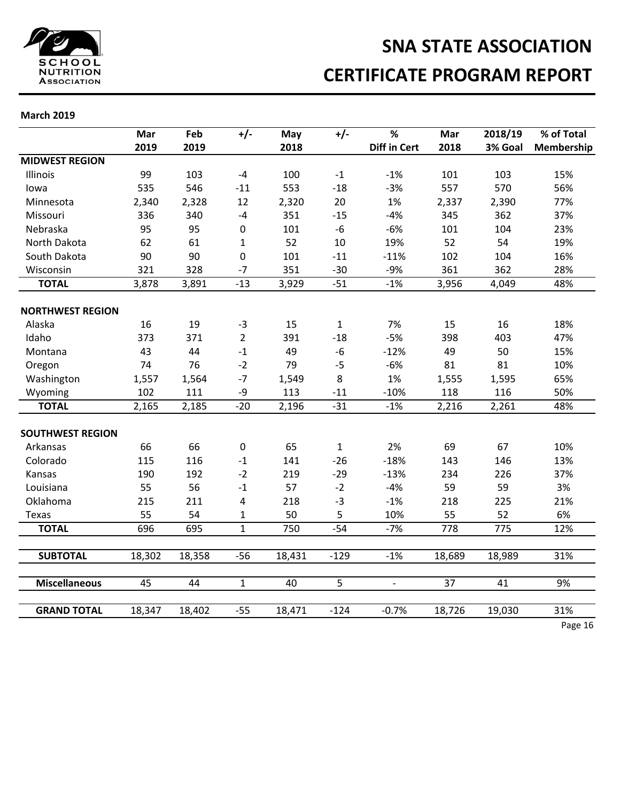![](_page_15_Picture_0.jpeg)

# **SNA STATE ASSOCIATION CERTIFICATE PROGRAM REPORT**

|                         | Mar    | Feb    | $+/-$          | May    | $+/-$        | %                   | Mar              | 2018/19          | % of Total |
|-------------------------|--------|--------|----------------|--------|--------------|---------------------|------------------|------------------|------------|
|                         | 2019   | 2019   |                | 2018   |              | <b>Diff in Cert</b> | 2018             | 3% Goal          | Membership |
| <b>MIDWEST REGION</b>   |        |        |                |        |              |                     |                  |                  |            |
| Illinois                | 99     | 103    | $-4$           | 100    | $-1$         | $-1%$               | 101              | 103              | 15%        |
| lowa                    | 535    | 546    | $-11$          | 553    | $-18$        | $-3%$               | 557              | 570              | 56%        |
| Minnesota               | 2,340  | 2,328  | 12             | 2,320  | 20           | 1%                  | 2,337            | 2,390            | 77%        |
| Missouri                | 336    | 340    | $-4$           | 351    | $-15$        | $-4%$               | 345              | 362              | 37%        |
| Nebraska                | 95     | 95     | $\pmb{0}$      | 101    | $-6$         | $-6%$               | 101              | 104              | 23%        |
| North Dakota            | 62     | 61     | 1              | 52     | 10           | 19%                 | 52               | 54               | 19%        |
| South Dakota            | 90     | 90     | 0              | 101    | $-11$        | $-11%$              | 102              | 104              | 16%        |
| Wisconsin               | 321    | 328    | $-7$           | 351    | $-30$        | $-9%$               | 361              | 362              | 28%        |
| <b>TOTAL</b>            | 3,878  | 3,891  | $-13$          | 3,929  | $-51$        | $-1%$               | 3,956            | 4,049            | 48%        |
| <b>NORTHWEST REGION</b> |        |        |                |        |              |                     |                  |                  |            |
| Alaska                  | 16     | 19     | $-3$           | 15     | $\mathbf{1}$ | 7%                  | 15               | 16               | 18%        |
| Idaho                   | 373    | 371    | $\overline{2}$ | 391    | $-18$        | $-5%$               | 398              | 403              | 47%        |
| Montana                 | 43     | 44     | $-1$           | 49     | $-6$         | $-12%$              | 49               | 50               | 15%        |
| Oregon                  | 74     | 76     | $-2$           | 79     | $-5$         | $-6%$               | 81               | 81               | 10%        |
| Washington              | 1,557  | 1,564  | $-7$           | 1,549  | 8            | 1%                  | 1,555            | 1,595            | 65%        |
| Wyoming                 | 102    | 111    | -9             | 113    | $-11$        | $-10%$              | 118              | 116              | 50%        |
| <b>TOTAL</b>            | 2,165  | 2,185  | $-20$          | 2,196  | $-31$        | $-1%$               | 2,216            | 2,261            | 48%        |
| <b>SOUTHWEST REGION</b> |        |        |                |        |              |                     |                  |                  |            |
| Arkansas                | 66     | 66     | $\mathbf 0$    | 65     | $\mathbf{1}$ | 2%                  | 69               | 67               | 10%        |
| Colorado                | 115    | 116    | $-1$           | 141    | $-26$        | $-18%$              | 143              | 146              | 13%        |
| Kansas                  | 190    | 192    | $-2$           | 219    | $-29$        | $-13%$              | 234              | 226              | 37%        |
| Louisiana               | 55     | 56     | $-1$           | 57     | $-2$         | $-4%$               | 59               | 59               | 3%         |
| Oklahoma                | 215    | 211    | 4              | 218    | $-3$         | $-1%$               | 218              | 225              | 21%        |
| <b>Texas</b>            | 55     | 54     | 1              | 50     | 5            | 10%                 | 55               | 52               | 6%         |
| <b>TOTAL</b>            | 696    | 695    | $\mathbf{1}$   | 750    | $-54$        | $-7%$               | $\overline{778}$ | $\overline{775}$ | 12%        |
|                         |        |        |                |        |              |                     |                  |                  |            |
| <b>SUBTOTAL</b>         | 18,302 | 18,358 | $-56$          | 18,431 | $-129$       | $-1%$               | 18,689           | 18,989           | 31%        |
| <b>Miscellaneous</b>    | 45     | 44     | $\mathbf{1}$   | 40     | 5            | $\blacksquare$      | $\overline{37}$  | 41               | 9%         |
|                         |        |        |                |        |              |                     |                  |                  |            |
| <b>GRAND TOTAL</b>      | 18,347 | 18,402 | $-55$          | 18,471 | $-124$       | $-0.7%$             | 18,726           | 19,030           | 31%        |
|                         |        |        |                |        |              |                     |                  |                  | Page 16    |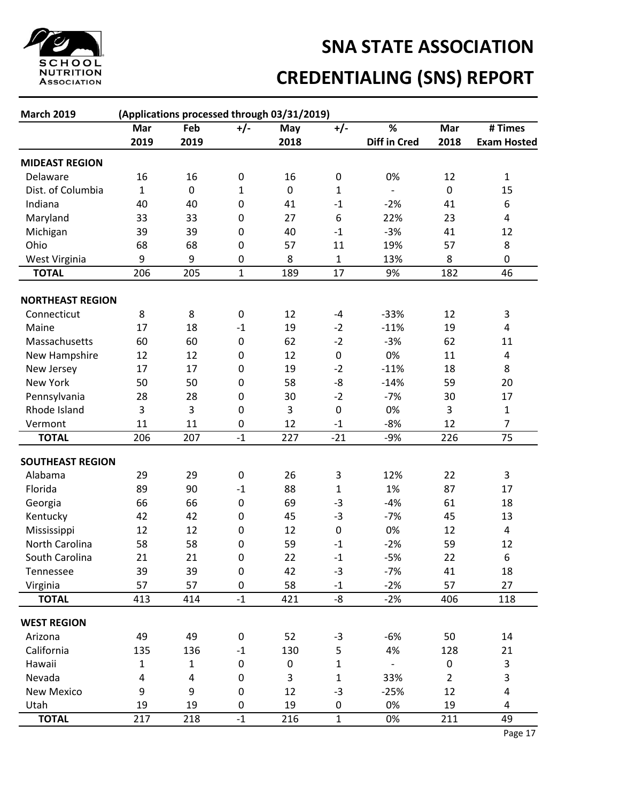![](_page_16_Picture_0.jpeg)

# **CREDENTIALING (SNS) REPORT**

| <b>March 2019</b>       | (Applications processed through 03/31/2019) |                         |                         |           |                       |                     |                |                         |  |
|-------------------------|---------------------------------------------|-------------------------|-------------------------|-----------|-----------------------|---------------------|----------------|-------------------------|--|
|                         | Mar                                         | Feb                     | $+/-$                   | May       | $+/-$                 | %                   | Mar            | # Times                 |  |
|                         | 2019                                        | 2019                    |                         | 2018      |                       | <b>Diff in Cred</b> | 2018           | <b>Exam Hosted</b>      |  |
| <b>MIDEAST REGION</b>   |                                             |                         |                         |           |                       |                     |                |                         |  |
| Delaware                | 16                                          | 16                      | 0                       | 16        | 0                     | 0%                  | 12             | 1                       |  |
| Dist. of Columbia       | $\mathbf{1}$                                | $\pmb{0}$               | $\mathbf{1}$            | $\pmb{0}$ | $\mathbf{1}$          |                     | $\pmb{0}$      | 15                      |  |
| Indiana                 | 40                                          | 40                      | $\boldsymbol{0}$        | 41        | $\textbf{-1}$         | $-2%$               | 41             | 6                       |  |
| Maryland                | 33                                          | 33                      | $\boldsymbol{0}$        | 27        | $\boldsymbol{6}$      | 22%                 | 23             | 4                       |  |
| Michigan                | 39                                          | 39                      | $\boldsymbol{0}$        | 40        | $-1$                  | $-3%$               | 41             | 12                      |  |
| Ohio                    | 68                                          | 68                      | $\pmb{0}$               | 57        | 11                    | 19%                 | 57             | 8                       |  |
| West Virginia           | 9                                           | 9                       | $\boldsymbol{0}$        | 8         | 1                     | 13%                 | 8              | 0                       |  |
| <b>TOTAL</b>            | 206                                         | 205                     | $\mathbf{1}$            | 189       | 17                    | 9%                  | 182            | 46                      |  |
|                         |                                             |                         |                         |           |                       |                     |                |                         |  |
| <b>NORTHEAST REGION</b> |                                             |                         |                         |           |                       |                     |                |                         |  |
| Connecticut             | 8                                           | 8                       | 0                       | 12        | $-4$                  | $-33%$              | 12             | 3                       |  |
| Maine                   | 17                                          | 18                      | $\textbf{-1}$           | 19        | $-2$                  | $-11%$              | 19             | 4                       |  |
| Massachusetts           | 60                                          | 60                      | $\boldsymbol{0}$        | 62        | $-2$                  | $-3%$               | 62             | 11                      |  |
| New Hampshire           | 12                                          | 12                      | $\boldsymbol{0}$        | 12        | $\pmb{0}$             | 0%                  | 11             | 4                       |  |
| New Jersey              | 17                                          | 17                      | $\boldsymbol{0}$        | 19        | $-2$                  | $-11%$              | 18             | 8                       |  |
| <b>New York</b>         | 50                                          | 50                      | $\boldsymbol{0}$        | 58        | -8                    | $-14%$              | 59             | 20                      |  |
| Pennsylvania            | 28                                          | 28                      | $\boldsymbol{0}$        | 30        | $-2$                  | $-7%$               | 30             | 17                      |  |
| Rhode Island            | 3                                           | 3                       | $\boldsymbol{0}$        | 3         | $\boldsymbol{0}$      | 0%                  | 3              | 1                       |  |
| Vermont                 | 11                                          | 11                      | $\pmb{0}$               | 12        | $-1$                  | $-8%$               | 12             | $\overline{7}$          |  |
| <b>TOTAL</b>            | 206                                         | 207                     | $-1$                    | 227       | $-21$                 | $-9%$               | 226            | 75                      |  |
| <b>SOUTHEAST REGION</b> |                                             |                         |                         |           |                       |                     |                |                         |  |
| Alabama                 | 29                                          | 29                      | $\pmb{0}$               | 26        | 3                     | 12%                 | 22             | 3                       |  |
| Florida                 | 89                                          | 90                      | $\textbf{-1}$           | 88        | $\mathbf{1}$          | 1%                  | 87             | 17                      |  |
| Georgia                 | 66                                          | 66                      | $\boldsymbol{0}$        | 69        | $-3$                  | $-4%$               | 61             | 18                      |  |
| Kentucky                | 42                                          | 42                      | $\boldsymbol{0}$        | 45        | $-3$                  | $-7%$               | 45             | 13                      |  |
| Mississippi             | 12                                          | 12                      | $\pmb{0}$               | 12        | $\pmb{0}$             | 0%                  | 12             | 4                       |  |
| North Carolina          | 58                                          | 58                      | $\pmb{0}$               | 59        | $-1$                  | $-2%$               | 59             | 12                      |  |
| South Carolina          | 21                                          | 21                      | $\mathbf 0$             | 22        | $-1$                  | $-5%$               | 22             | 6                       |  |
| Tennessee               | 39                                          | 39                      | $\pmb{0}$               | 42        | $-3$                  | $-7%$               | 41             | 18                      |  |
| Virginia                | 57                                          | 57                      | 0                       | 58        | $-1$                  | $-2%$               | 57             | 27                      |  |
| <b>TOTAL</b>            | 413                                         | 414                     | $-1$                    | 421       | $-\frac{1}{\sqrt{2}}$ | $-2%$               | 406            | 118                     |  |
| <b>WEST REGION</b>      |                                             |                         |                         |           |                       |                     |                |                         |  |
| Arizona                 | 49                                          | 49                      | $\pmb{0}$               | 52        | $-3$                  | $-6%$               | 50             | 14                      |  |
| California              | 135                                         | 136                     | $^{\text{{\small -1}}}$ | 130       | 5                     | 4%                  | 128            | 21                      |  |
| Hawaii                  | $\mathbf 1$                                 | $\mathbf{1}$            | $\pmb{0}$               | $\pmb{0}$ | $\mathbf 1$           | $\blacksquare$      | 0              | 3                       |  |
| Nevada                  | 4                                           | $\overline{\mathbf{4}}$ | 0                       | 3         | $\mathbf 1$           | 33%                 | $\overline{2}$ | 3                       |  |
| <b>New Mexico</b>       | 9                                           | 9                       | $\boldsymbol{0}$        | 12        | $-3$                  | $-25%$              | 12             | $\overline{\mathbf{4}}$ |  |
| Utah                    | 19                                          | 19                      | 0                       | 19        | 0                     | 0%                  | 19             | 4                       |  |
| <b>TOTAL</b>            | 217                                         | 218                     | $-1$                    | 216       | $\mathbf{1}$          | 0%                  | 211            | 49                      |  |
|                         |                                             |                         |                         |           |                       |                     |                |                         |  |

Page 17